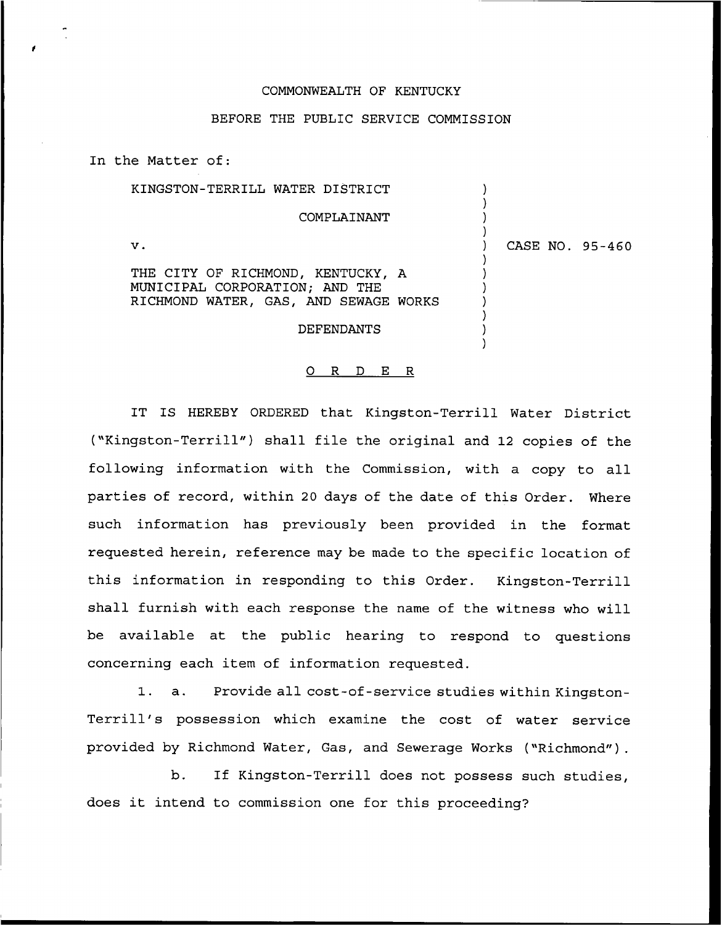## COMMONWEALTH OF KENTUCKY

## BEFORE THE PUBLIC SERVICE COMMISSION

In the Matter of:

| KINGSTON-TERRILL WATER DISTRICT                                     |  |                 |
|---------------------------------------------------------------------|--|-----------------|
| COMPLAINANT                                                         |  |                 |
| v.                                                                  |  | CASE NO. 95-460 |
| THE CITY OF RICHMOND, KENTUCKY, A<br>MUNICIPAL CORPORATION; AND THE |  |                 |
| RICHMOND WATER, GAS, AND SEWAGE WORKS                               |  |                 |
| DEFENDANTS                                                          |  |                 |
|                                                                     |  |                 |

## 0 R <sup>D</sup> E R

IT IS HEREBY ORDERED that Kingston-Terrill Water District ("Kingston-Terrill") shall file the original and <sup>12</sup> copies of the following information with the Commission, with a copy to all parties of record, within 20 days of the date of this Order. Where such information has previously been provided in the format requested herein, reference may be made to the specific location of this information in responding to this Order. Kingston-Terrill shall furnish with each response the name of the witness who will be available at the public hearing to respond to questions concerning each item of information requested.

1. a. Provide all cost-of-service studies within Kingston-Terrill's possession which examine the cost of water service provided by Richmond Water, Gas, and Sewerage Works ("Richmond" ).

b. If Kingston-Terrill does not possess such studies, does it intend to commission one for this proceeding?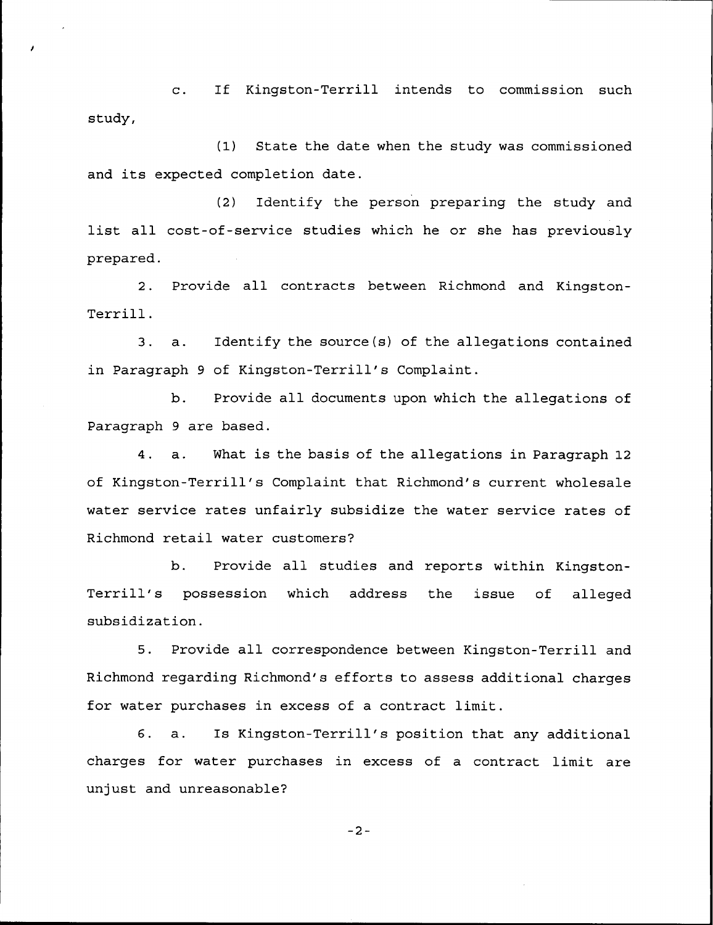c. If Kingston-Terrill intends to commission such study,

(1) State the date when the study was commissioned and its expected completion date.

(2) Identify the person preparing the study and list all cost-of-service studies which he or she has previously prepared .

2. Provide all contracts between Richmond and Kingston-Terrill.

3. a. Identify the source(s) of the allegations contained in Paragraph 9 of Kingston-Terrill's Complaint.

b. Provide all documents upon which the allegations of Paragraph 9 are based.

4. a. What is the basis of the allegations in Paragraph 12 of Kingston-Terrill's Complaint that Richmond's current wholesale water service rates unfairly subsidize the water service rates of Richmond retail water customers?

b. Provide all studies and reports within Kingston-Terrill's possession which address the issue of alleged subsidization.

5. Provide all correspondence between Kingston-Terrill and Richmond regarding Richmond's efforts to assess additional charges for water purchases in excess of a contract limit.

6. a. Is Kingston-Terrill's position that any additional charges for water purchases in excess of a contract limit are unjust and unreasonable?

 $-2-$